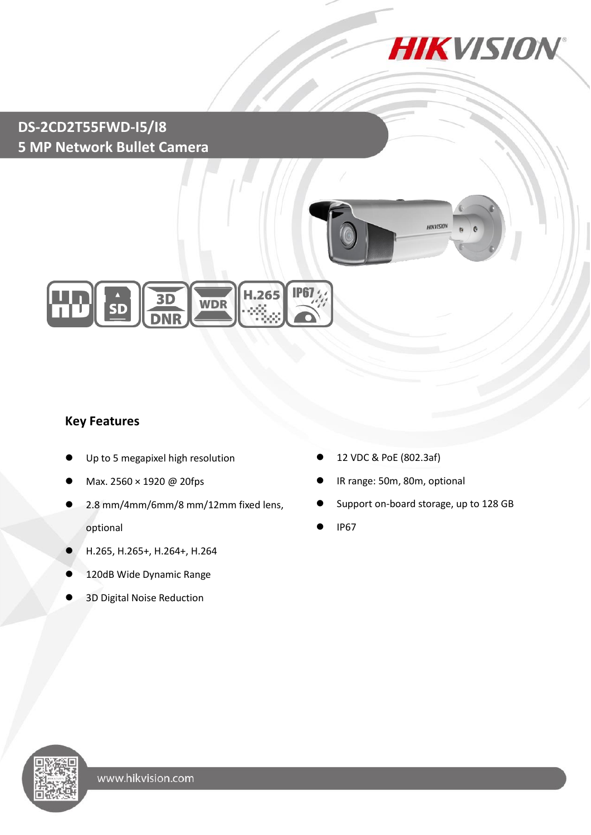

## **DS-2CD2T55FWD-I5/I8 5 MP Network Bullet Camera**





### **Key Features**

- Up to 5 megapixel high resolution
- Max. 2560 × 1920 @ 20fps
- 2.8 mm/4mm/6mm/8 mm/12mm fixed lens, optional
- H.265, H.265+, H.264+, H.264
- 120dB Wide Dynamic Range
- 3D Digital Noise Reduction
- 12 VDC & PoE (802.3af)
- IR range: 50m, 80m, optional
- Support on-board storage, up to 128 GB
- IP67

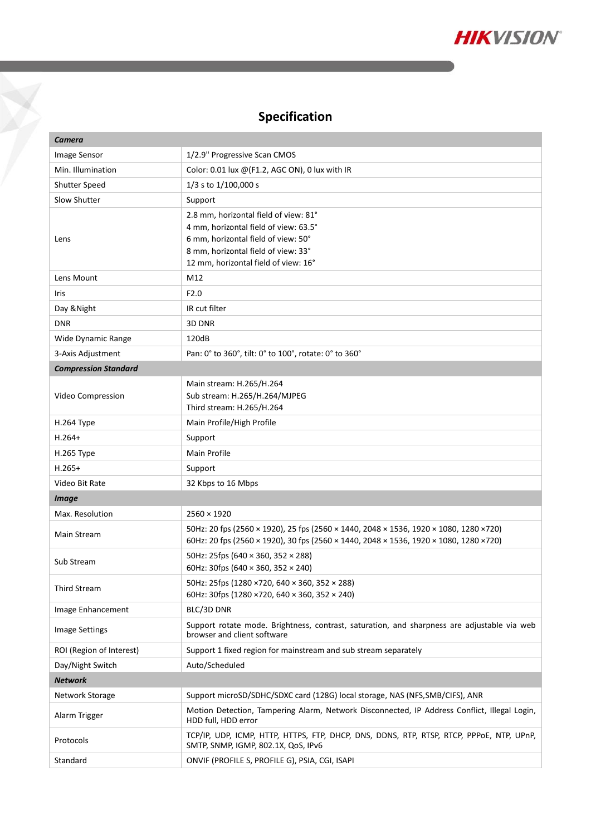

## **Specification**

Y

| Camera                      |                                                                                                                                                                                                      |  |
|-----------------------------|------------------------------------------------------------------------------------------------------------------------------------------------------------------------------------------------------|--|
| Image Sensor                | 1/2.9" Progressive Scan CMOS                                                                                                                                                                         |  |
| Min. Illumination           | Color: 0.01 lux @(F1.2, AGC ON), 0 lux with IR                                                                                                                                                       |  |
| Shutter Speed               | 1/3 s to 1/100,000 s                                                                                                                                                                                 |  |
| Slow Shutter                | Support                                                                                                                                                                                              |  |
| Lens                        | 2.8 mm, horizontal field of view: 81°<br>4 mm, horizontal field of view: 63.5°<br>6 mm, horizontal field of view: 50°<br>8 mm, horizontal field of view: 33°<br>12 mm, horizontal field of view: 16° |  |
| Lens Mount                  | M12                                                                                                                                                                                                  |  |
| Iris                        | F2.0                                                                                                                                                                                                 |  |
| Day & Night                 | IR cut filter                                                                                                                                                                                        |  |
| <b>DNR</b>                  | 3D DNR                                                                                                                                                                                               |  |
| Wide Dynamic Range          | 120dB                                                                                                                                                                                                |  |
| 3-Axis Adjustment           | Pan: 0° to 360°, tilt: 0° to 100°, rotate: 0° to 360°                                                                                                                                                |  |
| <b>Compression Standard</b> |                                                                                                                                                                                                      |  |
| Video Compression           | Main stream: H.265/H.264<br>Sub stream: H.265/H.264/MJPEG<br>Third stream: H.265/H.264                                                                                                               |  |
| <b>H.264 Type</b>           | Main Profile/High Profile                                                                                                                                                                            |  |
| $H.264+$                    | Support                                                                                                                                                                                              |  |
| H.265 Type                  | Main Profile                                                                                                                                                                                         |  |
| $H.265+$                    | Support                                                                                                                                                                                              |  |
| Video Bit Rate              | 32 Kbps to 16 Mbps                                                                                                                                                                                   |  |
| <b>Image</b>                |                                                                                                                                                                                                      |  |
| Max. Resolution             | $2560 \times 1920$                                                                                                                                                                                   |  |
| Main Stream                 | 50Hz: 20 fps (2560 × 1920), 25 fps (2560 × 1440, 2048 × 1536, 1920 × 1080, 1280 ×720)<br>60Hz: 20 fps (2560 × 1920), 30 fps (2560 × 1440, 2048 × 1536, 1920 × 1080, 1280 ×720)                       |  |
| Sub Stream                  | 50Hz: 25fps (640 $\times$ 360, 352 $\times$ 288)<br>60Hz: 30fps (640 $\times$ 360, 352 $\times$ 240)                                                                                                 |  |
| <b>Third Stream</b>         | 50Hz: 25fps (1280 ×720, 640 × 360, 352 × 288)<br>60Hz: 30fps (1280 × 720, 640 × 360, 352 × 240)                                                                                                      |  |
| Image Enhancement           | BLC/3D DNR                                                                                                                                                                                           |  |
| <b>Image Settings</b>       | Support rotate mode. Brightness, contrast, saturation, and sharpness are adjustable via web<br>browser and client software                                                                           |  |
| ROI (Region of Interest)    | Support 1 fixed region for mainstream and sub stream separately                                                                                                                                      |  |
| Day/Night Switch            | Auto/Scheduled                                                                                                                                                                                       |  |
| <b>Network</b>              |                                                                                                                                                                                                      |  |
| Network Storage             | Support microSD/SDHC/SDXC card (128G) local storage, NAS (NFS, SMB/CIFS), ANR                                                                                                                        |  |
| Alarm Trigger               | Motion Detection, Tampering Alarm, Network Disconnected, IP Address Conflict, Illegal Login,<br>HDD full, HDD error                                                                                  |  |
| Protocols                   | TCP/IP, UDP, ICMP, HTTP, HTTPS, FTP, DHCP, DNS, DDNS, RTP, RTSP, RTCP, PPPoE, NTP, UPnP,<br>SMTP, SNMP, IGMP, 802.1X, QoS, IPv6                                                                      |  |
| Standard                    | ONVIF (PROFILE S, PROFILE G), PSIA, CGI, ISAPI                                                                                                                                                       |  |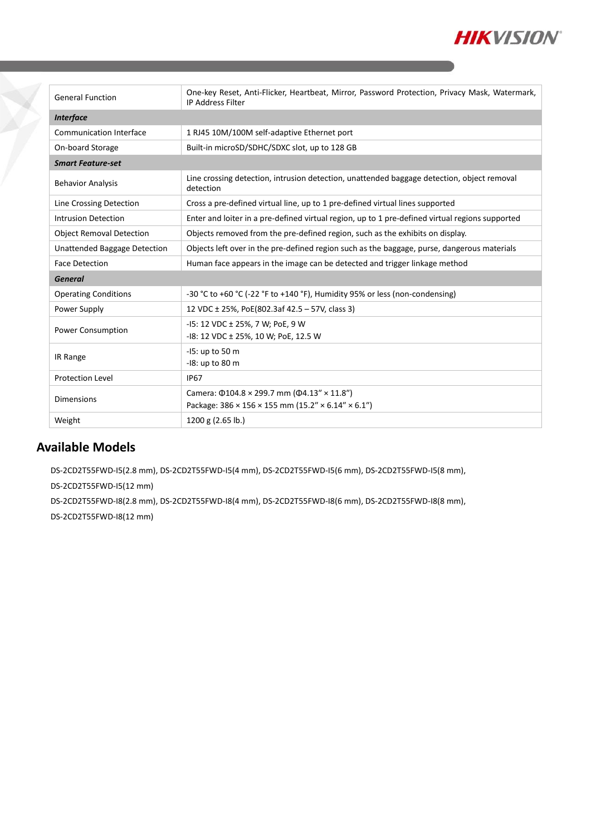

| <b>General Function</b>         | One-key Reset, Anti-Flicker, Heartbeat, Mirror, Password Protection, Privacy Mask, Watermark,<br><b>IP Address Filter</b>                  |  |
|---------------------------------|--------------------------------------------------------------------------------------------------------------------------------------------|--|
| <b>Interface</b>                |                                                                                                                                            |  |
| <b>Communication Interface</b>  | 1 RJ45 10M/100M self-adaptive Ethernet port                                                                                                |  |
| On-board Storage                | Built-in microSD/SDHC/SDXC slot, up to 128 GB                                                                                              |  |
| <b>Smart Feature-set</b>        |                                                                                                                                            |  |
| <b>Behavior Analysis</b>        | Line crossing detection, intrusion detection, unattended baggage detection, object removal<br>detection                                    |  |
| Line Crossing Detection         | Cross a pre-defined virtual line, up to 1 pre-defined virtual lines supported                                                              |  |
| <b>Intrusion Detection</b>      | Enter and loiter in a pre-defined virtual region, up to 1 pre-defined virtual regions supported                                            |  |
| <b>Object Removal Detection</b> | Objects removed from the pre-defined region, such as the exhibits on display.                                                              |  |
| Unattended Baggage Detection    | Objects left over in the pre-defined region such as the baggage, purse, dangerous materials                                                |  |
| <b>Face Detection</b>           | Human face appears in the image can be detected and trigger linkage method                                                                 |  |
| <b>General</b>                  |                                                                                                                                            |  |
| <b>Operating Conditions</b>     | -30 °C to +60 °C (-22 °F to +140 °F), Humidity 95% or less (non-condensing)                                                                |  |
| Power Supply                    | 12 VDC ± 25%, PoE(802.3af 42.5 - 57V, class 3)                                                                                             |  |
| Power Consumption               | -15: 12 VDC ± 25%, 7 W; PoE, 9 W<br>-18: 12 VDC ± 25%, 10 W; PoE, 12.5 W                                                                   |  |
| IR Range                        | -15: up to 50 m<br>-18: up to 80 m                                                                                                         |  |
| <b>Protection Level</b>         | <b>IP67</b>                                                                                                                                |  |
| <b>Dimensions</b>               | Camera: $\Phi$ 104.8 × 299.7 mm ( $\Phi$ 4.13" × 11.8")<br>Package: $386 \times 156 \times 155$ mm ( $15.2'' \times 6.14'' \times 6.1''$ ) |  |
| Weight                          | 1200 g (2.65 lb.)                                                                                                                          |  |
|                                 |                                                                                                                                            |  |

### **Available Models**

DS-2CD2T55FWD-I5(2.8 mm), DS-2CD2T55FWD-I5(4 mm), DS-2CD2T55FWD-I5(6 mm), DS-2CD2T55FWD-I5(8 mm),

DS-2CD2T55FWD-I5(12 mm)

DS-2CD2T55FWD-I8(2.8 mm), DS-2CD2T55FWD-I8(4 mm), DS-2CD2T55FWD-I8(6 mm), DS-2CD2T55FWD-I8(8 mm), DS-2CD2T55FWD-I8(12 mm)